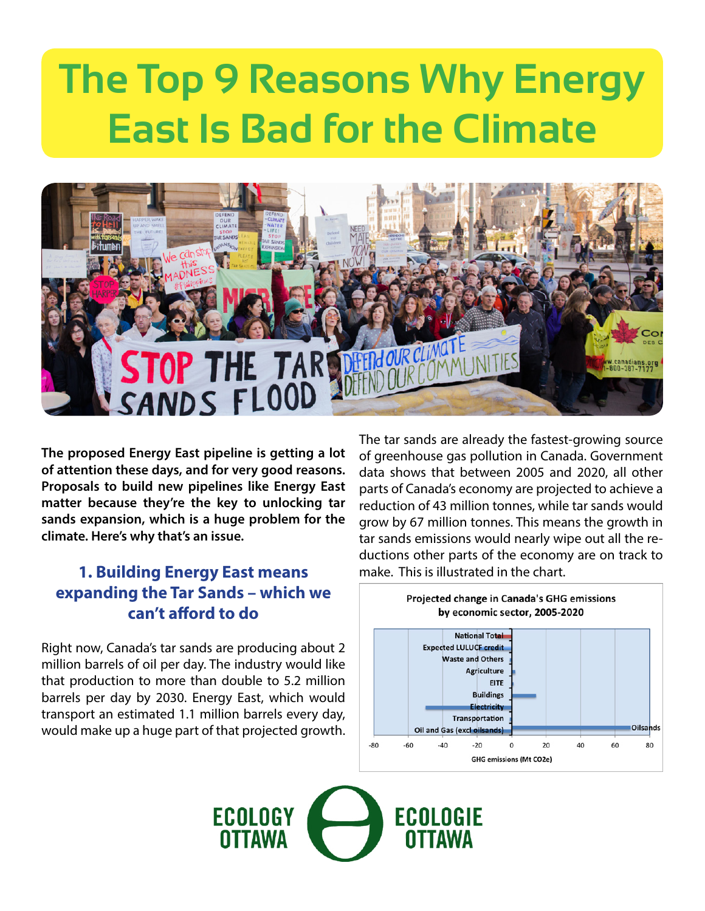# **The Top 9 Reasons Why Energy East Is Bad for the Climate**



**The proposed Energy East pipeline is getting a lot of attention these days, and for very good reasons. Proposals to build new pipelines like Energy East matter because they're the key to unlocking tar sands expansion, which is a huge problem for the climate. Here's why that's an issue.** 

## **1. Building Energy East means expanding the Tar Sands – which we can't afford to do**

Right now, Canada's tar sands are producing about 2 million barrels of oil per day. The industry would like that production to more than double to 5.2 million barrels per day by 2030. Energy East, which would transport an estimated 1.1 million barrels every day, would make up a huge part of that projected growth. The tar sands are already the fastest-growing source of greenhouse gas pollution in Canada. Government data shows that between 2005 and 2020, all other parts of Canada's economy are projected to achieve a reduction of 43 million tonnes, while tar sands would grow by 67 million tonnes. This means the growth in tar sands emissions would nearly wipe out all the reductions other parts of the economy are on track to make. This is illustrated in the chart.



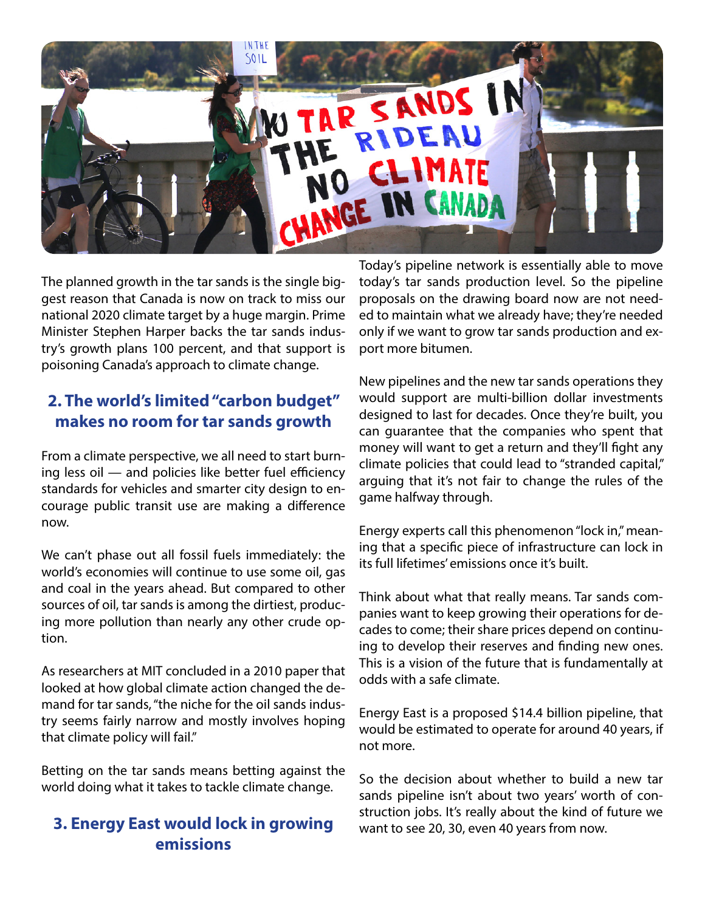

The planned growth in the tar sands is the single biggest reason that Canada is now on track to miss our national 2020 climate target by a huge margin. Prime Minister Stephen Harper backs the tar sands industry's growth plans 100 percent, and that support is poisoning Canada's approach to climate change.

#### **2. The world's limited "carbon budget" makes no room for tar sands growth**

From a climate perspective, we all need to start burning less oil — and policies like better fuel efficiency standards for vehicles and smarter city design to encourage public transit use are making a difference now.

We can't phase out all fossil fuels immediately: the world's economies will continue to use some oil, gas and coal in the years ahead. But compared to other sources of oil, tar sands is among the dirtiest, producing more pollution than nearly any other crude option.

As researchers at MIT concluded in a 2010 paper that looked at how global climate action changed the demand for tar sands, "the niche for the oil sands industry seems fairly narrow and mostly involves hoping that climate policy will fail."

Betting on the tar sands means betting against the world doing what it takes to tackle climate change.

#### **3. Energy East would lock in growing emissions**

Today's pipeline network is essentially able to move today's tar sands production level. So the pipeline proposals on the drawing board now are not needed to maintain what we already have; they're needed only if we want to grow tar sands production and export more bitumen.

New pipelines and the new tar sands operations they would support are multi-billion dollar investments designed to last for decades. Once they're built, you can guarantee that the companies who spent that money will want to get a return and they'll fight any climate policies that could lead to "stranded capital," arguing that it's not fair to change the rules of the game halfway through.

Energy experts call this phenomenon "lock in," meaning that a specific piece of infrastructure can lock in its full lifetimes' emissions once it's built.

Think about what that really means. Tar sands companies want to keep growing their operations for decades to come; their share prices depend on continuing to develop their reserves and finding new ones. This is a vision of the future that is fundamentally at odds with a safe climate.

Energy East is a proposed \$14.4 billion pipeline, that would be estimated to operate for around 40 years, if not more.

So the decision about whether to build a new tar sands pipeline isn't about two years' worth of construction jobs. It's really about the kind of future we want to see 20, 30, even 40 years from now.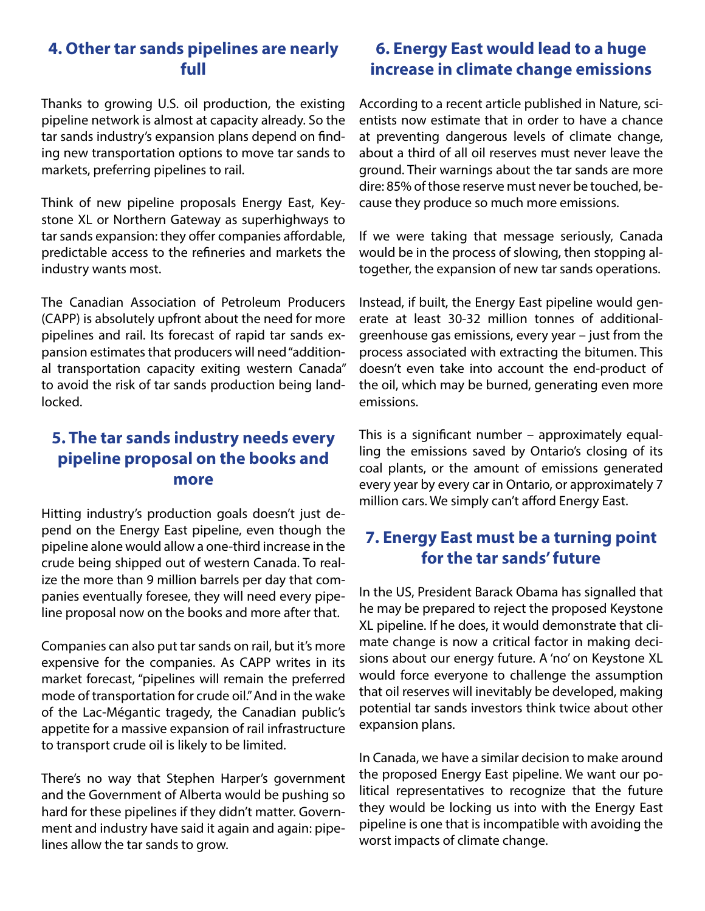#### **4. Other tar sands pipelines are nearly full**

Thanks to growing U.S. oil production, the existing pipeline network is almost at capacity already. So the tar sands industry's expansion plans depend on finding new transportation options to move tar sands to markets, preferring pipelines to rail.

Think of new pipeline proposals Energy East, Keystone XL or Northern Gateway as superhighways to tar sands expansion: they offer companies affordable, predictable access to the refineries and markets the industry wants most.

The Canadian Association of Petroleum Producers (CAPP) is absolutely upfront about the need for more pipelines and rail. Its forecast of rapid tar sands expansion estimates that producers will need "additional transportation capacity exiting western Canada" to avoid the risk of tar sands production being landlocked.

# **5. The tar sands industry needs every pipeline proposal on the books and more**

Hitting industry's production goals doesn't just depend on the Energy East pipeline, even though the pipeline alone would allow a one-third increase in the crude being shipped out of western Canada. To realize the more than 9 million barrels per day that companies eventually foresee, they will need every pipeline proposal now on the books and more after that.

Companies can also put tar sands on rail, but it's more expensive for the companies. As CAPP writes in its market forecast, "pipelines will remain the preferred mode of transportation for crude oil." And in the wake of the Lac-Mégantic tragedy, the Canadian public's appetite for a massive expansion of rail infrastructure to transport crude oil is likely to be limited.

There's no way that Stephen Harper's government and the Government of Alberta would be pushing so hard for these pipelines if they didn't matter. Government and industry have said it again and again: pipelines allow the tar sands to grow.

## **6. Energy East would lead to a huge increase in climate change emissions**

According to a recent article published in Nature, scientists now estimate that in order to have a chance at preventing dangerous levels of climate change, about a third of all oil reserves must never leave the ground. Their warnings about the tar sands are more dire: 85% of those reserve must never be touched, because they produce so much more emissions.

If we were taking that message seriously, Canada would be in the process of slowing, then stopping altogether, the expansion of new tar sands operations.

Instead, if built, the Energy East pipeline would generate at least 30-32 million tonnes of additionalgreenhouse gas emissions, every year – just from the process associated with extracting the bitumen. This doesn't even take into account the end-product of the oil, which may be burned, generating even more emissions.

This is a significant number – approximately equalling the emissions saved by Ontario's closing of its coal plants, or the amount of emissions generated every year by every car in Ontario, or approximately 7 million cars. We simply can't afford Energy East.

## **7. Energy East must be a turning point for the tar sands' future**

In the US, President Barack Obama has signalled that he may be prepared to reject the proposed Keystone XL pipeline. If he does, it would demonstrate that climate change is now a critical factor in making decisions about our energy future. A 'no' on Keystone XL would force everyone to challenge the assumption that oil reserves will inevitably be developed, making potential tar sands investors think twice about other expansion plans.

In Canada, we have a similar decision to make around the proposed Energy East pipeline. We want our political representatives to recognize that the future they would be locking us into with the Energy East pipeline is one that is incompatible with avoiding the worst impacts of climate change.